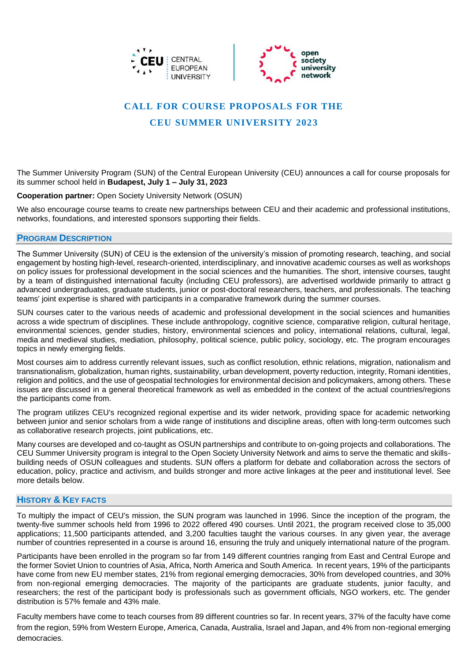



# **CALL FOR COURSE PROPOSALS FOR THE**

# **CEU SUMMER UNIVERSITY 2023**

The Summer University Program (SUN) of the Central European University (CEU) announces a call for course proposals for its summer school held in **Budapest, July 1 – July 31, 2023**

**Cooperation partner:** [Open Society University Network](https://opensocietyuniversitynetwork.org/) (OSUN)

We also encourage course teams to create new partnerships between CEU and their academic and professional institutions, networks, foundations, and interested sponsors supporting their fields.

### **PROGRAM DESCRIPTION**

The Summer University (SUN) of CEU is the extension of the university's mission of promoting research, teaching, and social engagement by hosting high-level, research-oriented, interdisciplinary, and innovative academic courses as well as workshops on policy issues for professional development in the social sciences and the humanities. The short, intensive courses, taught by a team of distinguished international faculty (including CEU professors), are advertised worldwide primarily to attract g advanced undergraduates, graduate students, junior or post-doctoral researchers, teachers, and professionals. The teaching teams' joint expertise is shared with participants in a comparative framework during the summer courses.

SUN courses cater to the various needs of academic and professional development in the social sciences and humanities across a wide spectrum of disciplines. These include anthropology, cognitive science, comparative religion, cultural heritage, environmental sciences, gender studies, history, environmental sciences and policy, international relations, cultural, legal, media and medieval studies, mediation, philosophy, political science, public policy, sociology, etc. The program encourages topics in newly emerging fields.

Most courses aim to address currently relevant issues, such as conflict resolution, ethnic relations, migration, nationalism and transnationalism, globalization, human rights, sustainability, urban development, poverty reduction, integrity, Romani identities, religion and politics, and the use of geospatial technologies for environmental decision and policymakers, among others. These issues are discussed in a general theoretical framework as well as embedded in the context of the actual countries/regions the participants come from.

The program utilizes CEU's recognized regional expertise and its wider network, providing space for academic networking between junior and senior scholars from a wide range of institutions and discipline areas, often with long-term outcomes such as collaborative research projects, joint publications, etc.

Many courses are developed and co-taught as OSUN partnerships and contribute to on-going projects and collaborations. The CEU Summer University program is integral to the Open Society University Network and aims to serve the thematic and skillsbuilding needs of OSUN colleagues and students. SUN offers a platform for debate and collaboration across the sectors of education, policy, practice and activism, and builds stronger and more active linkages at the peer and institutional level. See more details below.

## **HISTORY & KEY FACTS**

To multiply the impact of CEU's mission, the SUN program was launched in 1996. Since the inception of the program, the twenty-five summer schools held from 1996 to 2022 offered 490 courses. Until 2021, the program received close to 35,000 applications; 11,500 participants attended, and 3,200 faculties taught the various courses. In any given year, the average number of countries represented in a course is around 16, ensuring the truly and uniquely international nature of the program.

Participants have been enrolled in the program so far from 149 different countries ranging from East and Central Europe and the former Soviet Union to countries of Asia, Africa, North America and South America. In recent years, 19% of the participants have come from new EU member states, 21% from regional emerging democracies, 30% from developed countries, and 30% from non-regional emerging democracies. The majority of the participants are graduate students, junior faculty, and researchers; the rest of the participant body is professionals such as government officials, NGO workers, etc. The gender distribution is 57% female and 43% male.

Faculty members have come to teach courses from 89 different countries so far. In recent years, 37% of the faculty have come from the region, 59% from Western Europe, America, Canada, Australia, Israel and Japan, and 4% from non-regional emerging democracies.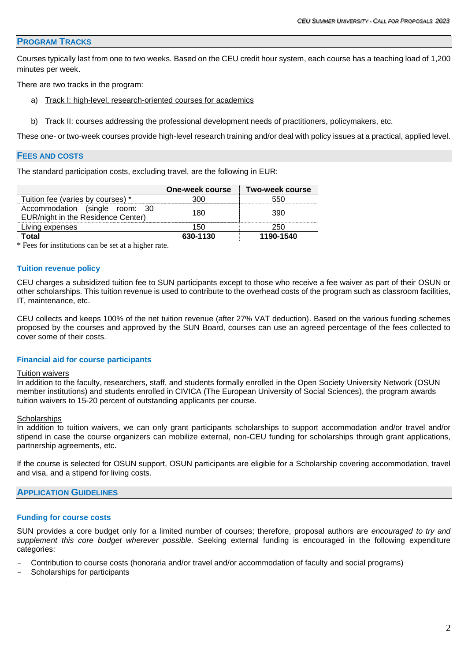### **PROGRAM TRACKS**

Courses typically last from one to two weeks. Based on the CEU credit hour system, each course has a teaching load of 1,200 minutes per week.

There are two tracks in the program:

- a) Track I: high-level, research-oriented courses for academics
- b) Track II: courses addressing the professional development needs of practitioners, policymakers, etc.

These one- or two-week courses provide high-level research training and/or deal with policy issues at a practical, applied level.

#### **FEES AND COSTS**

The standard participation costs, excluding travel, are the following in EUR:

|                                                                      | One-week course | Two-week course |
|----------------------------------------------------------------------|-----------------|-----------------|
| Tuition fee (varies by courses) *                                    |                 |                 |
| Accommodation (single<br>room:<br>EUR/night in the Residence Center) | 180             | 390             |
| Living expenses                                                      | 150             | 250             |
| Total                                                                | 630-1130        | 1190-1540       |

\* Fees for institutions can be set at a higher rate.

#### **Tuition revenue policy**

CEU charges a subsidized tuition fee to SUN participants except to those who receive a fee waiver as part of their OSUN or other scholarships. This tuition revenue is used to contribute to the overhead costs of the program such as classroom facilities, IT, maintenance, etc.

CEU collects and keeps 100% of the net tuition revenue (after 27% VAT deduction). Based on the various funding schemes proposed by the courses and approved by the SUN Board, courses can use an agreed percentage of the fees collected to cover some of their costs.

#### **Financial aid for course participants**

#### **Tuition waivers**

In addition to the faculty, researchers, staff, and students formally enrolled in the Open Society University Network [\(OSUN](https://opensocietyuniversitynetwork.org/about/members/)  [member institutions\)](https://opensocietyuniversitynetwork.org/about/members/) and students enrolled in [CIVICA](https://www.civica.eu/who-we-are/campuses/) (The European University of Social Sciences), the program awards tuition waivers to 15-20 percent of outstanding applicants per course.

#### **Scholarships**

In addition to tuition waivers, we can only grant participants scholarships to support accommodation and/or travel and/or stipend in case the course organizers can mobilize external, non-CEU funding for scholarships through grant applications, partnership agreements, etc.

If the course is selected for OSUN support, OSUN participants are eligible for a Scholarship covering accommodation, travel and visa, and a stipend for living costs.

### **APPLICATION GUIDELINES**

#### **Funding for course costs**

SUN provides a core budget only for a limited number of courses; therefore, proposal authors are *encouraged to try and supplement this core budget wherever possible.* Seeking external funding is encouraged in the following expenditure categories:

- Contribution to course costs (honoraria and/or travel and/or accommodation of faculty and social programs)
- Scholarships for participants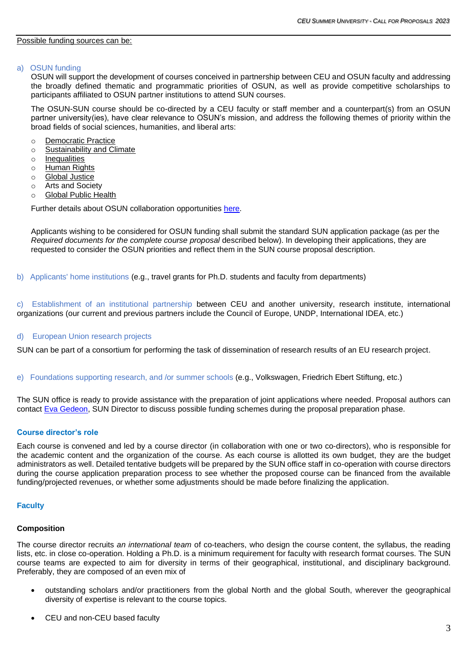#### a) OSUN funding

OSUN will support the development of courses conceived in partnership between CEU and OSUN faculty and addressing the broadly defined thematic and programmatic priorities of OSUN, as well as provide competitive scholarships to participants affiliated to OSUN partner institutions to attend SUN courses.

The OSUN-SUN course should be co-directed by a CEU faculty or staff member and a counterpart(s) from an OSUN partner university(ies), have clear relevance to OSUN's mission, and address the following themes of priority within the broad fields of social sciences, humanities, and liberal arts:

- o Democratic Practice
- o Sustainability and Climate
- o Inequalities
- o Human Rights
- o Global Justice
- o Arts and Society
- o Global Public Health

Further details about OSUN collaboration opportunities [here.](https://summeruniversity.ceu.edu/sites/default/files/2022-03/OSUN%20SUN%20proposals%20-priorities-2023.pdf)

Applicants wishing to be considered for OSUN funding shall submit the standard SUN application package (as per the *Required documents for the complete course proposal* described below). In developing their applications, they are requested to consider the OSUN priorities and reflect them in the SUN course proposal description.

b) Applicants' home institutions (e.g., travel grants for Ph.D. students and faculty from departments)

c) Establishment of an institutional partnership between CEU and another university, research institute, international organizations (our current and previous partners include the Council of Europe, UNDP, International IDEA, etc.)

### d) European Union research projects

SUN can be part of a consortium for performing the task of dissemination of research results of an EU research project.

e) Foundations supporting research, and /or summer schools (e.g., Volkswagen, Friedrich Ebert Stiftung, etc.)

The SUN office is ready to provide assistance with the preparation of joint applications where needed. Proposal authors can contact [Eva Gedeon,](mailto:gedeone@ceu.edu) SUN Director to discuss possible funding schemes during the proposal preparation phase.

### **Course director's role**

Each course is convened and led by a course director (in collaboration with one or two co-directors), who is responsible for the academic content and the organization of the course. As each course is allotted its own budget, they are the budget administrators as well. Detailed tentative budgets will be prepared by the SUN office staff in co-operation with course directors during the course application preparation process to see whether the proposed course can be financed from the available funding/projected revenues, or whether some adjustments should be made before finalizing the application.

### **Faculty**

### **Composition**

The course director recruits *an international team* of co-teachers, who design the course content, the syllabus, the reading lists, etc. in close co-operation. Holding a Ph.D. is a minimum requirement for faculty with research format courses. The SUN course teams are expected to aim for diversity in terms of their geographical, institutional, and disciplinary background. Preferably, they are composed of an even mix of

- outstanding scholars and/or practitioners from the global North and the global South, wherever the geographical diversity of expertise is relevant to the course topics.
- CEU and non-CEU based faculty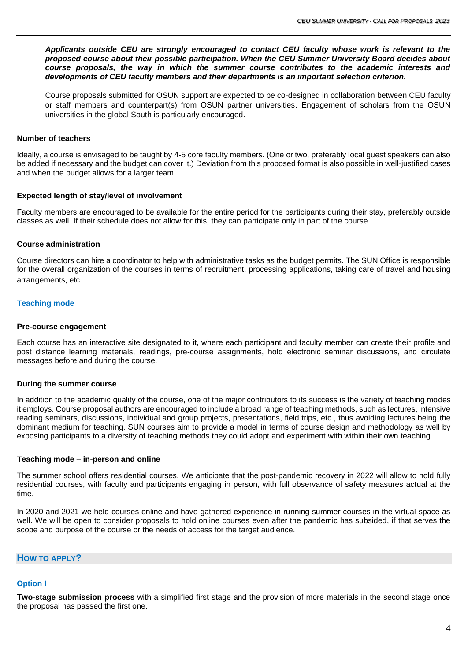*Applicants outside CEU are strongly encouraged to contact CEU faculty whose work is relevant to the proposed course about their possible participation. When the CEU Summer University Board decides about course proposals, the way in which the summer course contributes to the academic interests and developments of CEU faculty members and their departments is an important selection criterion.*

Course proposals submitted for OSUN support are expected to be co-designed in collaboration between CEU faculty or staff members and counterpart(s) from OSUN partner universities. Engagement of scholars from the OSUN universities in the global South is particularly encouraged.

#### **Number of teachers**

Ideally, a course is envisaged to be taught by 4-5 core faculty members. (One or two, preferably local guest speakers can also be added if necessary and the budget can cover it.) Deviation from this proposed format is also possible in well-justified cases and when the budget allows for a larger team.

#### **Expected length of stay/level of involvement**

Faculty members are encouraged to be available for the entire period for the participants during their stay, preferably outside classes as well. If their schedule does not allow for this, they can participate only in part of the course.

#### **Course administration**

Course directors can hire a coordinator to help with administrative tasks as the budget permits. The SUN Office is responsible for the overall organization of the courses in terms of recruitment, processing applications, taking care of travel and housing arrangements, etc.

### **Teaching mode**

#### **Pre-course engagement**

Each course has an interactive site designated to it, where each participant and faculty member can create their profile and post distance learning materials, readings, pre-course assignments, hold electronic seminar discussions, and circulate messages before and during the course.

#### **During the summer course**

In addition to the academic quality of the course, one of the major contributors to its success is the variety of teaching modes it employs. Course proposal authors are encouraged to include a broad range of teaching methods, such as lectures, intensive reading seminars, discussions, individual and group projects, presentations, field trips, etc., thus avoiding lectures being the dominant medium for teaching. SUN courses aim to provide a model in terms of course design and methodology as well by exposing participants to a diversity of teaching methods they could adopt and experiment with within their own teaching.

#### **Teaching mode – in-person and online**

The summer school offers residential courses. We anticipate that the post-pandemic recovery in 2022 will allow to hold fully residential courses, with faculty and participants engaging in person, with full observance of safety measures actual at the time.

In 2020 and 2021 we held courses online and have gathered experience in running summer courses in the virtual space as well. We will be open to consider proposals to hold online courses even after the pandemic has subsided, if that serves the scope and purpose of the course or the needs of access for the target audience.

**HOW TO APPLY?**

# **Option I**

**Two-stage submission process** with a simplified first stage and the provision of more materials in the second stage once the proposal has passed the first one.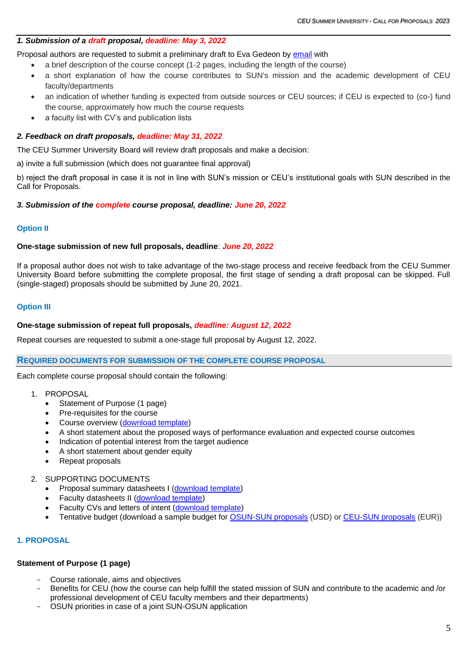## *1. Submission of a draft proposal, deadline: May 3, 2022*

Proposal authors are requested to submit a preliminary draft to Eva Gedeon by [email](mailto:gedeone@ceu.edu) with

- a brief description of the course concept (1-2 pages, including the length of the course)
- a short explanation of how the course contributes to SUN's mission and the academic development of CEU faculty/departments
- an indication of whether funding is expected from outside sources or CEU sources; if CEU is expected to (co-) fund the course, approximately how much the course requests
- a faculty list with CV's and publication lists

## *2. Feedback on draft proposals, deadline: May 31, 2022*

The CEU Summer University Board will review draft proposals and make a decision:

a) invite a full submission (which does not guarantee final approval)

b) reject the draft proposal in case it is not in line with SUN's mission or CEU's institutional goals with SUN described in the Call for Proposals.

## *3. Submission of the complete course proposal, deadline: June 20, 2022*

## **Option II**

## **One-stage submission of new full proposals, deadline**: *June 20, 2022*

If a proposal author does not wish to take advantage of the two-stage process and receive feedback from the CEU Summer University Board before submitting the complete proposal, the first stage of sending a draft proposal can be skipped. Full (single-staged) proposals should be submitted by June 20, 2021.

## **Option III**

## **One-stage submission of repeat full proposals,** *deadline: August 12, 2022*

Repeat courses are requested to submit a one-stage full proposal by August 12, 2022.

### **REQUIRED DOCUMENTS FOR SUBMISSION OF THE COMPLETE COURSE PROPOSAL**

Each complete course proposal should contain the following:

- 1. PROPOSAL
	- Statement of Purpose (1 page)
	- Pre-requisites for the course
	- Course overview [\(download template\)](https://summeruniversity.ceu.edu/sites/default/files/2021-04/03-Course%20Overview%20template.docx)
	- A short statement about the proposed ways of performance evaluation and expected course outcomes
	- Indication of potential interest from the target audience
	- A short statement about gender equity
	- Repeat proposals
- 2. SUPPORTING DOCUMENTS
	- Proposal summary datasheets I [\(download template\)](https://summeruniversity.ceu.edu/sites/default/files/2021-04/01-DATASHEET%20I%20-%20Course%20summary%20data.docx)
	- Faculty datasheets II [\(download template\)](https://summeruniversity.ceu.edu/sites/default/files/2021-04/02-DATASHEET%20II%20-%20Faculty%20data.docx)
	- Faculty CVs and letters of intent [\(download template\)](https://summeruniversity.ceu.edu/sites/default/files/2022-03/04-Letter-of-intent-2023_0.docx)
	- Tentative budget (download a sample budget for **OSUN-SUN** proposals (USD) or [CEU-SUN proposals](https://summeruniversity.ceu.edu/sites/default/files/2022-03/05-Budget%20sample-EUR-CEU%20SUN-2023.xls) (EUR))

## **1. PROPOSAL**

## **Statement of Purpose (1 page)**

- Course rationale, aims and objectives
- Benefits for CEU (how the course can help fulfill the stated mission of SUN and contribute to the academic and /or professional development of CEU faculty members and their departments)
- OSUN priorities in case of a joint SUN-OSUN application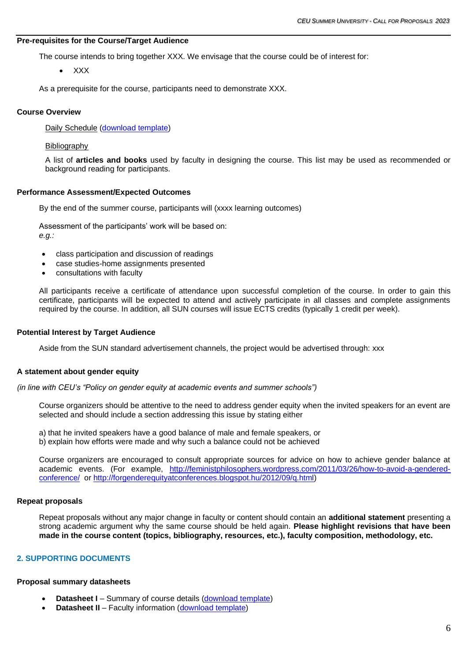## **Pre-requisites for the Course/Target Audience**

The course intends to bring together XXX. We envisage that the course could be of interest for:

• XXX

As a prerequisite for the course, participants need to demonstrate XXX.

## **Course Overview**

Daily Schedule [\(download template\)](https://summeruniversity.ceu.edu/sites/default/files/page-files/03-Course%20Overview%20template.docx)

## Bibliography

A list of **articles and books** used by faculty in designing the course. This list may be used as recommended or background reading for participants.

## **Performance Assessment/Expected Outcomes**

By the end of the summer course, participants will (xxxx learning outcomes)

Assessment of the participants' work will be based on: *e.g.:*

- class participation and discussion of readings
- case studies-home assignments presented
- consultations with faculty

All participants receive a certificate of attendance upon successful completion of the course. In order to gain this certificate, participants will be expected to attend and actively participate in all classes and complete assignments required by the course. In addition, all SUN courses will issue ECTS credits (typically 1 credit per week).

### **Potential Interest by Target Audience**

Aside from the SUN standard advertisement channels, the project would be advertised through: xxx

### **A statement about gender equity**

*(in line with CEU's "Policy on gender equity at academic events and summer schools")*

Course organizers should be attentive to the need to address gender equity when the invited speakers for an event are selected and should include a section addressing this issue by stating either

a) that he invited speakers have a good balance of male and female speakers, or b) explain how efforts were made and why such a balance could not be achieved

Course organizers are encouraged to consult appropriate sources for advice on how to achieve gender balance at academic events. (For example, [http://feministphilosophers.wordpress.com/2011/03/26/how-to-avoid-a-gendered](http://feministphilosophers.wordpress.com/2011/03/26/how-to-avoid-a-gendered-conference/)[conference/](http://feministphilosophers.wordpress.com/2011/03/26/how-to-avoid-a-gendered-conference/) or [http://forgenderequityatconferences.blogspot.hu/2012/09/q.html\)](http://forgenderequityatconferences.blogspot.hu/2012/09/q.html)

### **Repeat proposals**

Repeat proposals without any major change in faculty or content should contain an **additional statement** presenting a strong academic argument why the same course should be held again. **Please highlight revisions that have been made in the course content (topics, bibliography, resources, etc.), faculty composition, methodology, etc.**

## **2. SUPPORTING DOCUMENTS**

### **Proposal summary datasheets**

- **Datasheet I** Summary of course details [\(download template\)](https://summeruniversity.ceu.edu/sites/default/files/2021-04/01-DATASHEET%20I%20-%20Course%20summary%20data.docx)
- **Datasheet II** Faculty information [\(download template\)](https://summeruniversity.ceu.edu/sites/default/files/2021-04/02-DATASHEET%20II%20-%20Faculty%20data.docx)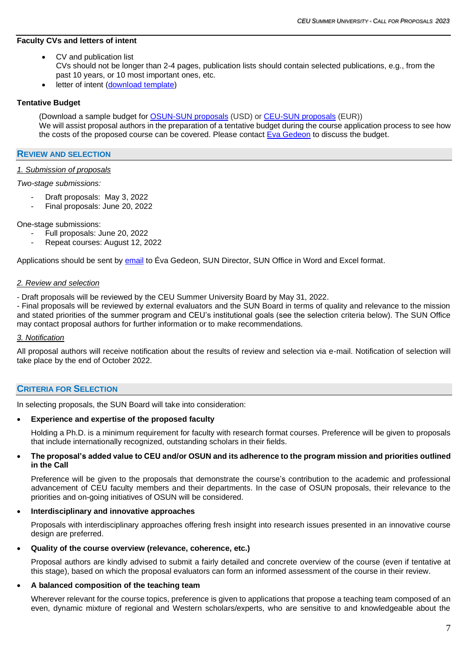## **Faculty CVs and letters of intent**

- CV and publication list CVs should not be longer than 2-4 pages, publication lists should contain selected publications, e.g., from the past 10 years, or 10 most important ones, etc.
- letter of intent [\(download template\)](https://summeruniversity.ceu.edu/sites/default/files/2022-03/04-Letter-of-intent-2023_0.docx)

## **Tentative Budget**

(Download a sample budget for [OSUN-SUN proposals](https://summeruniversity.ceu.edu/sites/default/files/2022-03/06-Budget%20sample-USD-OSUN-2023.xlsx) (USD) or [CEU-SUN proposals](https://summeruniversity.ceu.edu/sites/default/files/2022-03/05-Budget%20sample-EUR-CEU%20SUN-2023.xls) (EUR)) We will assist proposal authors in the preparation of a tentative budget during the course application process to see how the costs of the proposed course can be covered. Please contact [Eva Gedeon](mailto:gedeone@ceu.edu) to discuss the budget.

### **REVIEW AND SELECTION**

### *1. Submission of proposals*

#### *Two-stage submissions:*

- Draft proposals: May 3, 2022
- Final proposals: June 20, 2022

One-stage submissions:

- Full proposals: June 20, 2022
- Repeat courses: August 12, 2022

Applications should be sent by [email](mailto:gedeone@ceu.edu) to Éva Gedeon, SUN Director, SUN Office in Word and Excel format.

#### *2. Review and selection*

- Draft proposals will be reviewed by the CEU Summer University Board by May 31, 2022.

- Final proposals will be reviewed by external evaluators and the SUN Board in terms of quality and relevance to the mission and stated priorities of the summer program and CEU's institutional goals (see the selection criteria below). The SUN Office may contact proposal authors for further information or to make recommendations.

### *3. Notification*

All proposal authors will receive notification about the results of review and selection via e-mail. Notification of selection will take place by the end of October 2022.

## **CRITERIA FOR SELECTION**

In selecting proposals, the SUN Board will take into consideration:

### • **Experience and expertise of the proposed faculty**

Holding a Ph.D. is a minimum requirement for faculty with research format courses. Preference will be given to proposals that include internationally recognized, outstanding scholars in their fields.

### • **The proposal's added value to CEU and/or OSUN and its adherence to the program mission and priorities outlined in the Call**

Preference will be given to the proposals that demonstrate the course's contribution to the academic and professional advancement of CEU faculty members and their departments. In the case of OSUN proposals, their relevance to the priorities and on-going initiatives of OSUN will be considered.

## • **Interdisciplinary and innovative approaches**

Proposals with interdisciplinary approaches offering fresh insight into research issues presented in an innovative course design are preferred.

### • **Quality of the course overview (relevance, coherence, etc.)**

Proposal authors are kindly advised to submit a fairly detailed and concrete overview of the course (even if tentative at this stage), based on which the proposal evaluators can form an informed assessment of the course in their review.

### • **A balanced composition of the teaching team**

Wherever relevant for the course topics, preference is given to applications that propose a teaching team composed of an even, dynamic mixture of regional and Western scholars/experts, who are sensitive to and knowledgeable about the